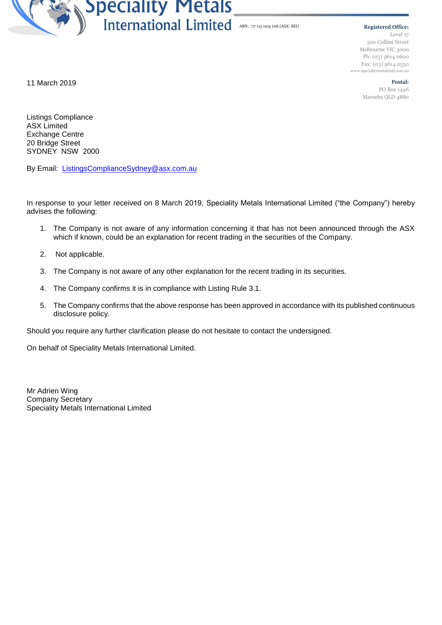

**Registered Office:** Level 17 500 Collins Street Melbourne VIC 3000 Ph: (03) 9614 0600 Fax: (03) 9614 0550 www.specialitymetalsintl.com.au

> **Postal:** PO Box 1496 Mareeba QLD 4880

11 March 2019

Listings Compliance ASX Limited Exchange Centre 20 Bridge Street SYDNEY NSW 2000

By Email: [ListingsComplianceSydney@asx.com.au](mailto:ListingsComplianceSydney@asx.com.au)

In response to your letter received on 8 March 2019, Speciality Metals International Limited ("the Company") hereby advises the following:

- 1. The Company is not aware of any information concerning it that has not been announced through the ASX which if known, could be an explanation for recent trading in the securities of the Company.
- 2. Not applicable.
- 3. The Company is not aware of any other explanation for the recent trading in its securities.
- 4. The Company confirms it is in compliance with Listing Rule 3.1.
- 5. The Company confirms that the above response has been approved in accordance with its published continuous disclosure policy.

Should you require any further clarification please do not hesitate to contact the undersigned.

On behalf of Speciality Metals International Limited.

Mr Adrien Wing Company Secretary Speciality Metals International Limited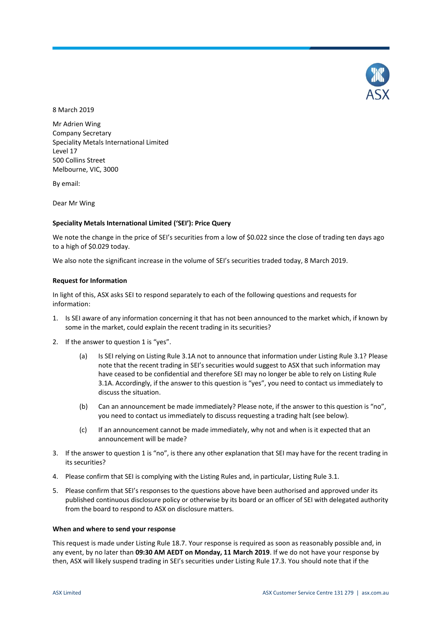

8 March 2019

Mr Adrien Wing Company Secretary Speciality Metals International Limited Level 17 500 Collins Street Melbourne, VIC, 3000

By email:

Dear Mr Wing

# **Speciality Metals International Limited ('SEI'): Price Query**

We note the change in the price of SEI's securities from a low of \$0.022 since the close of trading ten days ago to a high of \$0.029 today.

We also note the significant increase in the volume of SEI's securities traded today, 8 March 2019.

## **Request for Information**

In light of this, ASX asks SEI to respond separately to each of the following questions and requests for information:

- 1. Is SEI aware of any information concerning it that has not been announced to the market which, if known by some in the market, could explain the recent trading in its securities?
- 2. If the answer to question 1 is "yes".
	- (a) Is SEI relying on Listing Rule 3.1A not to announce that information under Listing Rule 3.1? Please note that the recent trading in SEI's securities would suggest to ASX that such information may have ceased to be confidential and therefore SEI may no longer be able to rely on Listing Rule 3.1A. Accordingly, if the answer to this question is "yes", you need to contact us immediately to discuss the situation.
	- (b) Can an announcement be made immediately? Please note, if the answer to this question is "no", you need to contact us immediately to discuss requesting a trading halt (see below).
	- (c) If an announcement cannot be made immediately, why not and when is it expected that an announcement will be made?
- 3. If the answer to question 1 is "no", is there any other explanation that SEI may have for the recent trading in its securities?
- 4. Please confirm that SEI is complying with the Listing Rules and, in particular, Listing Rule 3.1.
- 5. Please confirm that SEI's responses to the questions above have been authorised and approved under its published continuous disclosure policy or otherwise by its board or an officer of SEI with delegated authority from the board to respond to ASX on disclosure matters.

## **When and where to send your response**

This request is made under Listing Rule 18.7. Your response is required as soon as reasonably possible and, in any event, by no later than **09:30 AM AEDT on Monday, 11 March 2019**. If we do not have your response by then, ASX will likely suspend trading in SEI's securities under Listing Rule 17.3. You should note that if the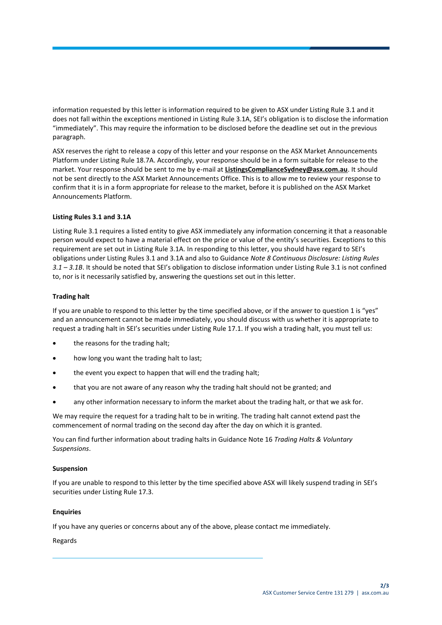information requested by this letter is information required to be given to ASX under Listing Rule 3.1 and it does not fall within the exceptions mentioned in Listing Rule 3.1A, SEI's obligation is to disclose the information "immediately". This may require the information to be disclosed before the deadline set out in the previous paragraph.

ASX reserves the right to release a copy of this letter and your response on the ASX Market Announcements Platform under Listing Rule 18.7A. Accordingly, your response should be in a form suitable for release to the market. Your response should be sent to me by e-mail at **ListingsComplianceSydney@asx.com.au**. It should not be sent directly to the ASX Market Announcements Office. This is to allow me to review your response to confirm that it is in a form appropriate for release to the market, before it is published on the ASX Market Announcements Platform.

# **Listing Rules 3.1 and 3.1A**

Listing Rule 3.1 requires a listed entity to give ASX immediately any information concerning it that a reasonable person would expect to have a material effect on the price or value of the entity's securities. Exceptions to this requirement are set out in Listing Rule 3.1A. In responding to this letter, you should have regard to SEI's obligations under Listing Rules 3.1 and 3.1A and also to Guidance *Note 8 Continuous Disclosure: Listing Rules 3.1 – 3.1B*. It should be noted that SEI's obligation to disclose information under Listing Rule 3.1 is not confined to, nor is it necessarily satisfied by, answering the questions set out in this letter.

# **Trading halt**

If you are unable to respond to this letter by the time specified above, or if the answer to question 1 is "yes" and an announcement cannot be made immediately, you should discuss with us whether it is appropriate to request a trading halt in SEI's securities under Listing Rule 17.1. If you wish a trading halt, you must tell us:

- the reasons for the trading halt;
- how long you want the trading halt to last;
- the event you expect to happen that will end the trading halt;
- that you are not aware of any reason why the trading halt should not be granted; and
- any other information necessary to inform the market about the trading halt, or that we ask for.

We may require the request for a trading halt to be in writing. The trading halt cannot extend past the commencement of normal trading on the second day after the day on which it is granted.

You can find further information about trading halts in Guidance Note 16 *Trading Halts & Voluntary Suspensions*.

# **Suspension**

If you are unable to respond to this letter by the time specified above ASX will likely suspend trading in SEI's securities under Listing Rule 17.3.

# **Enquiries**

If you have any queries or concerns about any of the above, please contact me immediately.

# Regards